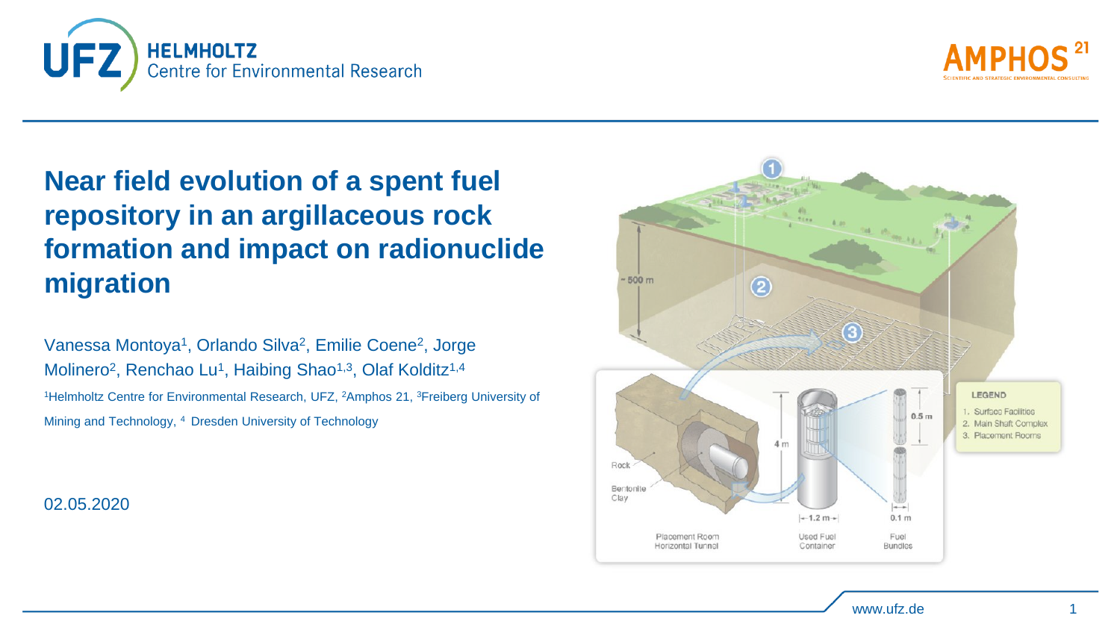



## **Near field evolution of a spent fuel repository in an argillaceous rock formation and impact on radionuclide migration**

Vanessa Montoya<sup>1</sup>, Orlando Silva<sup>2</sup>, Emilie Coene<sup>2</sup>, Jorge Molinero<sup>2</sup>, Renchao Lu<sup>1</sup>, Haibing Shao<sup>1,3</sup>, Olaf Kolditz<sup>1,4</sup> <sup>1</sup>Helmholtz Centre for Environmental Research, UFZ, <sup>2</sup>Amphos 21, <sup>3</sup>Freiberg University of Mining and Technology, <sup>4</sup>Dresden University of Technology

02.05.2020

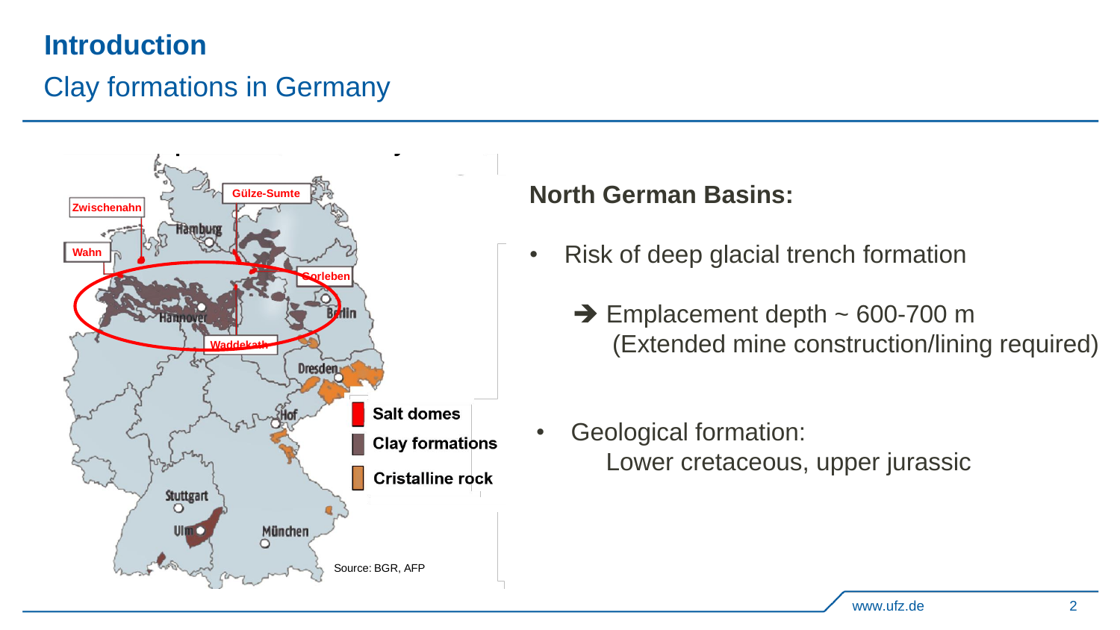## **Introduction**

## Clay formations in Germany



**Potential host rocks for nuclear waste**

#### **North German Basins:**

- Risk of deep glacial trench formation
	- $\rightarrow$  Emplacement depth  $\sim$  600-700 m (Extended mine construction/lining required)
- Geological formation: Lower cretaceous, upper jurassic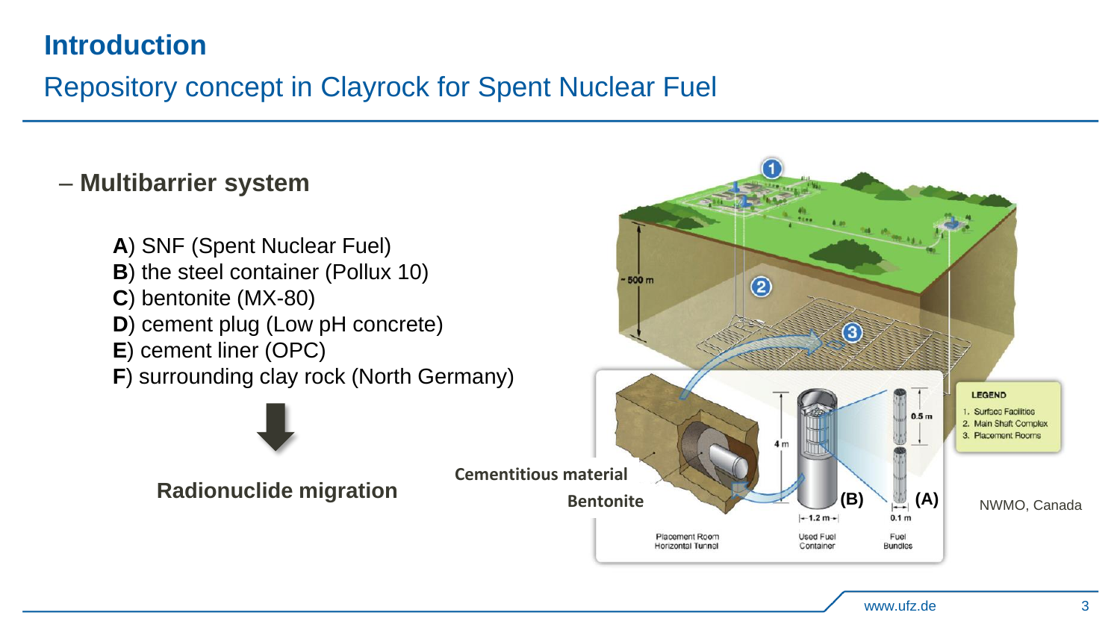## **Introduction**

## Repository concept in Clayrock for Spent Nuclear Fuel

#### – **Multibarrier system**

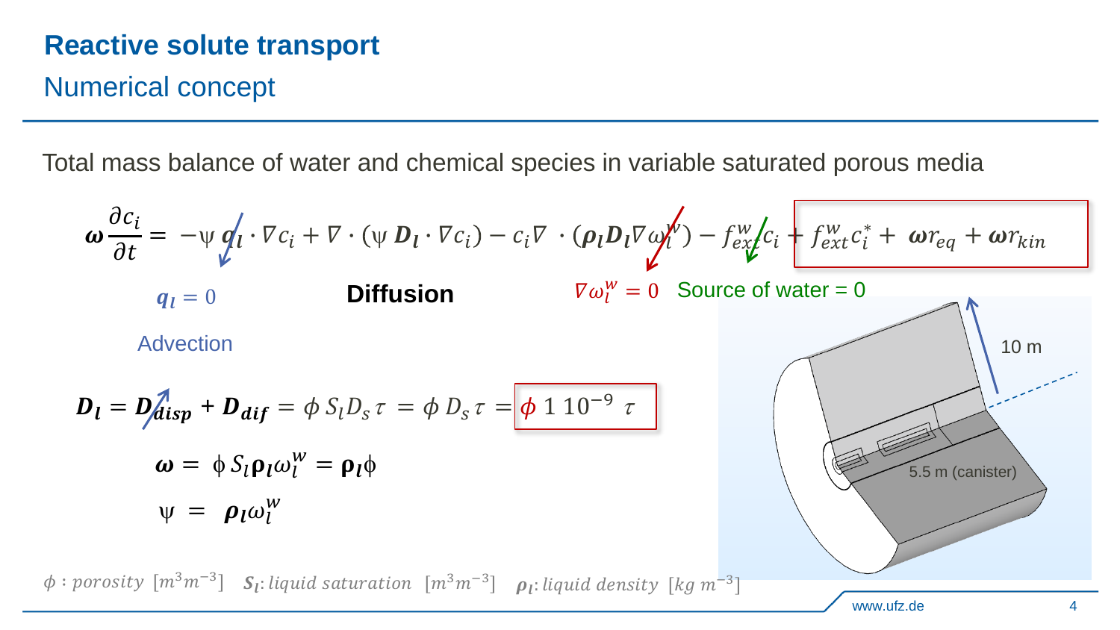## **Reactive solute transport**

Numerical concept

 $\phi$ :

Total mass balance of water and chemical species in variable saturated porous media

$$
\omega \frac{\partial c_i}{\partial t} = -\psi \, \mathbf{q}_i \cdot \nabla c_i + \nabla \cdot (\psi \, \mathbf{D}_l \cdot \nabla c_i) - c_i \nabla \cdot (\mathbf{\rho}_l \mathbf{D}_l \nabla \omega_l^W) - f_{ex}^W c_i \, \mathbf{f}_{ext}^W c_i + \omega r_{eq} + \omega r_{kin}
$$
\n
$$
q_l = 0
$$
\n**Diffusion**\n
$$
\nabla \omega_l^W = 0
$$
\nSource of water = 0\n  
\nAdvection\n
$$
\mathbf{D}_l = \mathbf{D}_d^T \mathbf{i}_{sp} + \mathbf{D}_{dif} = \phi \, S_l \mathbf{D}_s \tau = \phi \, \mathbf{D}_s \tau = \phi \, 1 \, 10^{-9} \, \tau
$$
\n
$$
\omega = \phi \, S_l \mathbf{p}_l \omega_l^W = \mathbf{p}_l \phi
$$
\n
$$
\psi = \mathbf{\rho}_l \omega_l^W
$$
\n
$$
\text{proosity } [m^3 m^{-3}] \, S_l: \text{liquid saturation } [m^3 m^{-3}] \, \mathbf{\rho}_l: \text{liquid density } [kg \, m^{-3}]
$$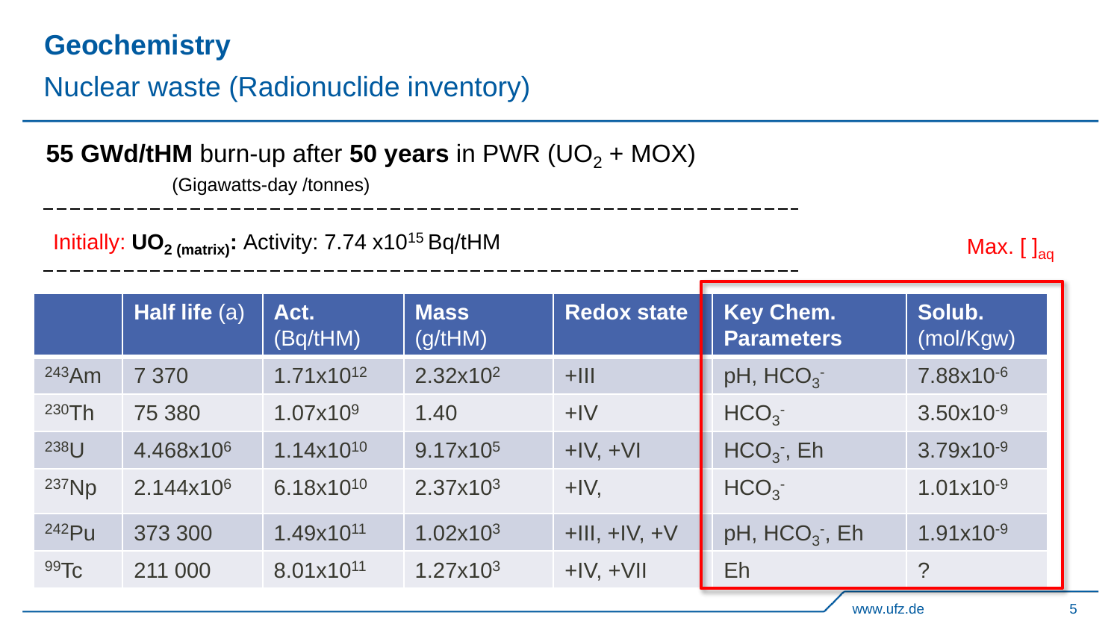## **Geochemistry**

## Nuclear waste (Radionuclide inventory)

## **55 GWd/tHM** burn-up after **50 years** in PWR (UO<sub>2</sub> + MOX)

(Gigawatts-day /tonnes)

Initially:  $\mathsf{UO}_2$ <sub>(matrix)</sub>: Activity: 7.74 x10<sup>15</sup> Bq/tHM

Max.  $\left[\right]_{aa}$ 

|                  | Half life (a)         | Act.<br>(Bq/tHM)      | <b>Mass</b><br>(g/HM) | <b>Redox state</b> | Key Chem.<br><b>Parameters</b> | Solub.<br>(mol/Kgw)   |
|------------------|-----------------------|-----------------------|-----------------------|--------------------|--------------------------------|-----------------------|
| $243$ Am         | 7 3 7 0               | $1.71x10^{12}$        | 2.32x10 <sup>2</sup>  | $+$ III            | pH, HCO <sub>3</sub>           | 7.88x10 <sup>-6</sup> |
| 230Th            | 75 380                | 1.07x109              | 1.40                  | $+IV$              | HCO <sub>3</sub>               | $3.50x10^{-9}$        |
| 238U             | 4.468x10 <sup>6</sup> | 1.14x10 <sup>10</sup> | 9.17x10 <sup>5</sup>  | $+IV, +VI$         | $HCO3$ , Eh                    | $3.79x10^{-9}$        |
| $237$ Np         | 2.144x10 <sup>6</sup> | 6.18x10 <sup>10</sup> | $2.37x10^3$           | $+IV,$             | HCO <sub>3</sub>               | $1.01x10^{-9}$        |
| 242Pu            | 373 300               | 1.49x10 <sup>11</sup> | 1.02x10 <sup>3</sup>  | $+III, +IV, +V$    | pH, $HCO3$ , Eh                | $1.91x10^{-9}$        |
| 99T <sub>C</sub> | 211 000               | 8.01x10 <sup>11</sup> | $1.27 \times 10^{3}$  | $+IV, +VII$        | Eh                             | ?                     |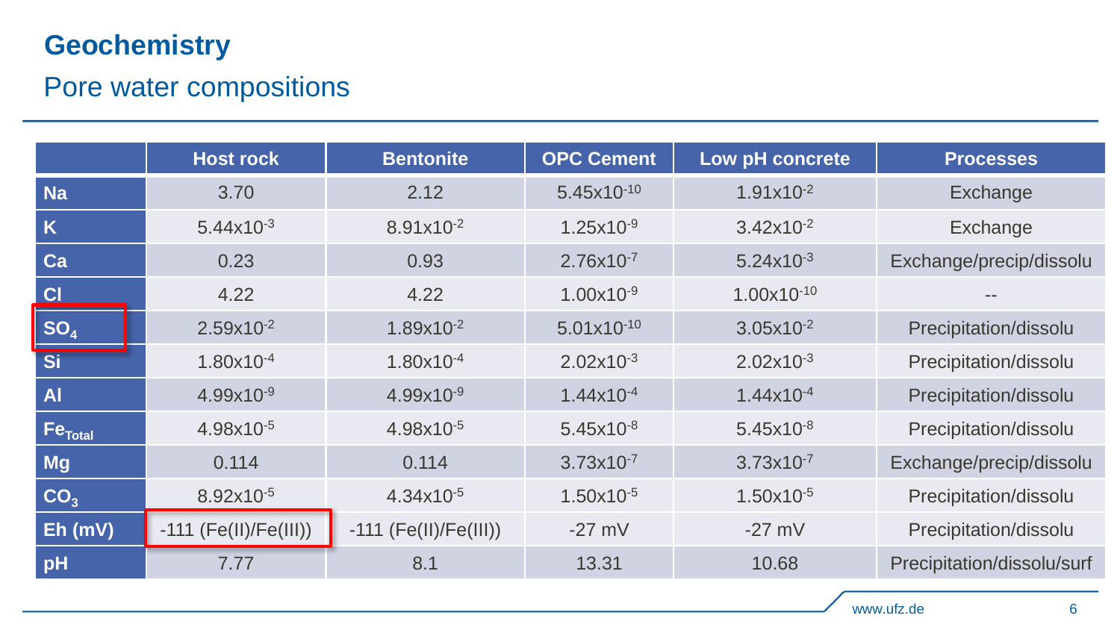## **Geochemistry**

## Pore water compositions

|                     | <b>Host rock</b>        | <b>Bentonite</b>        | <b>OPC Cement</b> | Low pH concrete | <b>Processes</b>           |
|---------------------|-------------------------|-------------------------|-------------------|-----------------|----------------------------|
| <b>Na</b>           | 3.70                    | 2.12                    | 5.45x10-10        | $1.91x10^{-2}$  | Exchange                   |
| K                   | $5.44x10^{-3}$          | 8.91x10 <sup>-2</sup>   | $1.25x10^{-9}$    | $3.42x10^{-2}$  | Exchange                   |
| Ca                  | 0.23                    | 0.93                    | 2.76x10-7         | $5.24x10^{-3}$  | Exchange/precip/dissolu    |
| C                   | 4.22                    | 4.22                    | $1.00x10^{-9}$    | $1.00x10^{-10}$ |                            |
| SO <sub>4</sub>     | 2.59x10-2               | 1.89x10-2               | $5.01x10^{-10}$   | $3.05x10^{-2}$  | Precipitation/dissolu      |
| <b>Si</b>           | 1.80x10 <sup>-4</sup>   | 1.80x10 <sup>-4</sup>   | $2.02x10^{-3}$    | $2.02x10^{-3}$  | Precipitation/dissolu      |
| <b>Al</b>           | $4.99x10^{-9}$          | $4.99x10^{-9}$          | $1.44x10^{-4}$    | $1.44x10^{-4}$  | Precipitation/dissolu      |
| Fe <sub>Total</sub> | 4.98x10-5               | 4.98x10-5               | $5.45x10^{-8}$    | $5.45x10^{-8}$  | Precipitation/dissolu      |
| <b>Mg</b>           | 0.114                   | 0.114                   | $3.73x10^{-7}$    | $3.73x10^{-7}$  | Exchange/precip/dissolu    |
| CO <sub>3</sub>     | 8.92x10-5               | $4.34x10^{-5}$          | $1.50x10^{-5}$    | $1.50x10^{-5}$  | Precipitation/dissolu      |
| $Eh$ (mV)           | $-111$ (Fe(II)/Fe(III)) | $-111$ (Fe(II)/Fe(III)) | $-27$ mV          | $-27$ mV        | Precipitation/dissolu      |
| pH                  | 7.77                    | 8.1                     | 13.31             | 10.68           | Precipitation/dissolu/surf |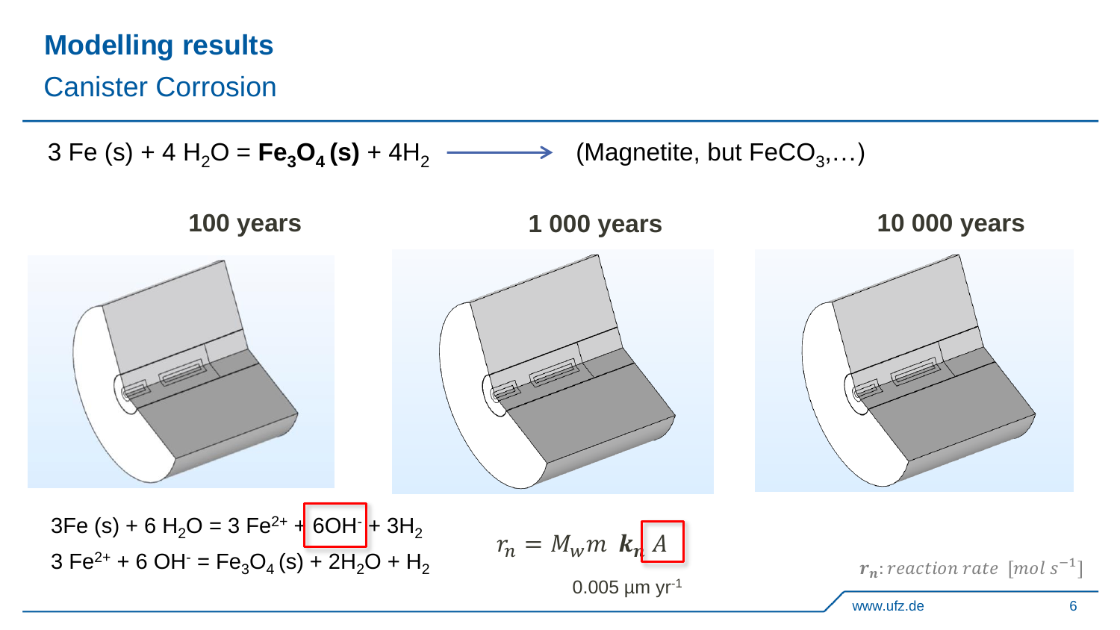Canister Corrosion

 $3 \text{ Fe (s)} + 4 \text{ H}<sub>2</sub>\text{O} = \text{Fe}_3\text{O}_4(\text{s}) + 4\text{H}<sub>2</sub> \longrightarrow$ (Magnetite, but  $\mathsf{FeCO}_{3},\ldots)$ 

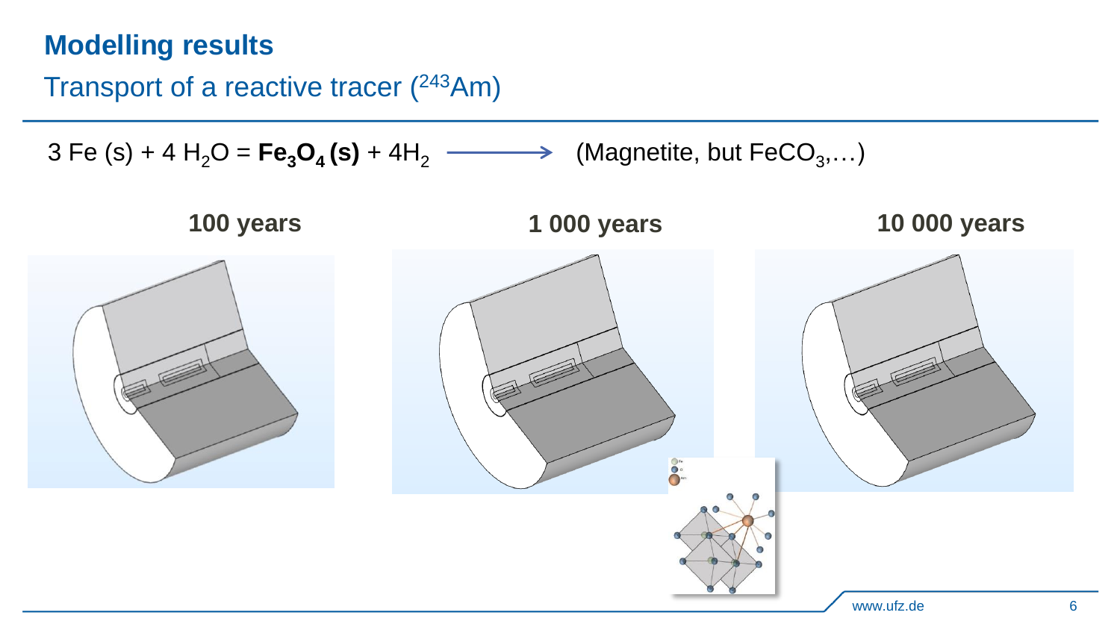## Transport of a reactive tracer (<sup>243</sup>Am)

 $3 \text{ Fe (s)} + 4 \text{ H}_2\text{O} = \text{Fe}_3\text{O}_4(\text{s}) + 4\text{H}_2 \longrightarrow$ (Magnetite, but  $\mathsf{FeCO}_{3},\ldots)$ 

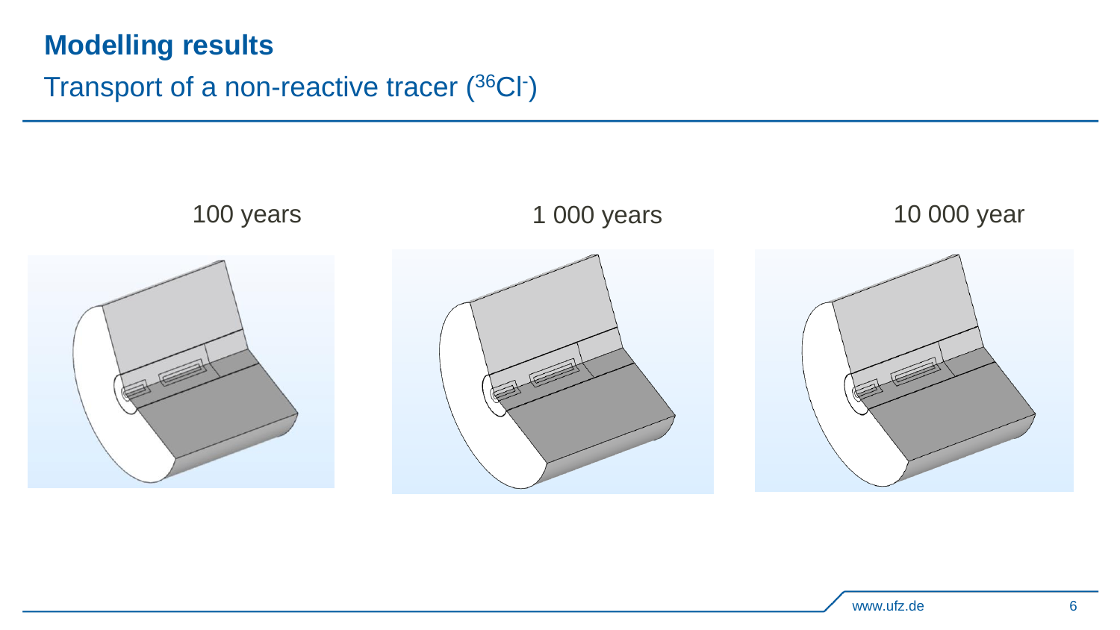### Transport of a non-reactive tracer (<sup>36</sup>CI<sup>-</sup>)

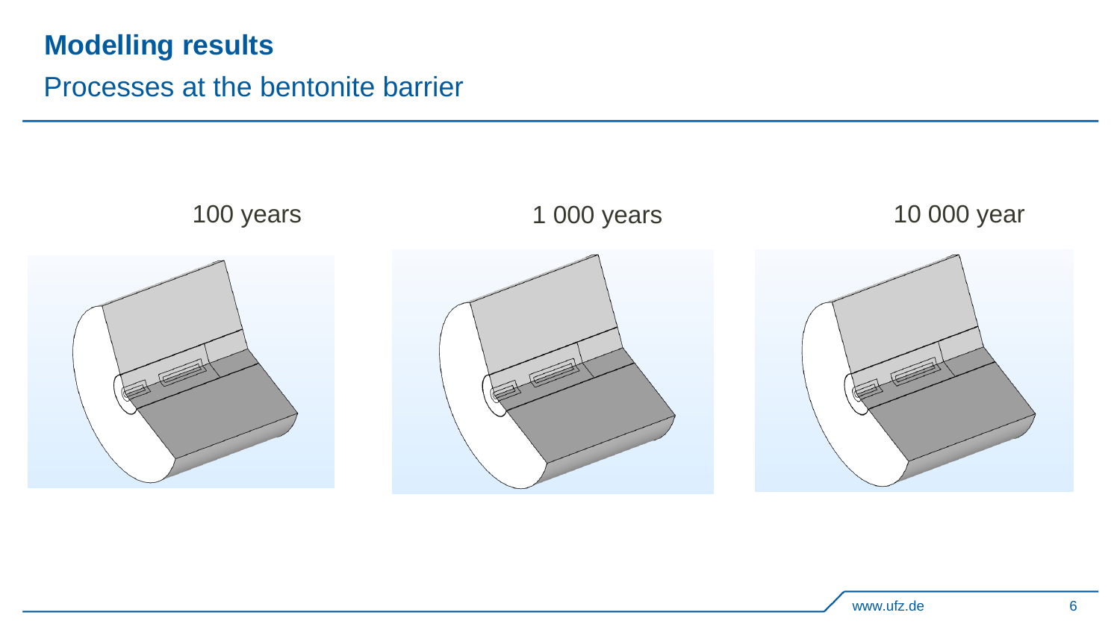## Processes at the bentonite barrier

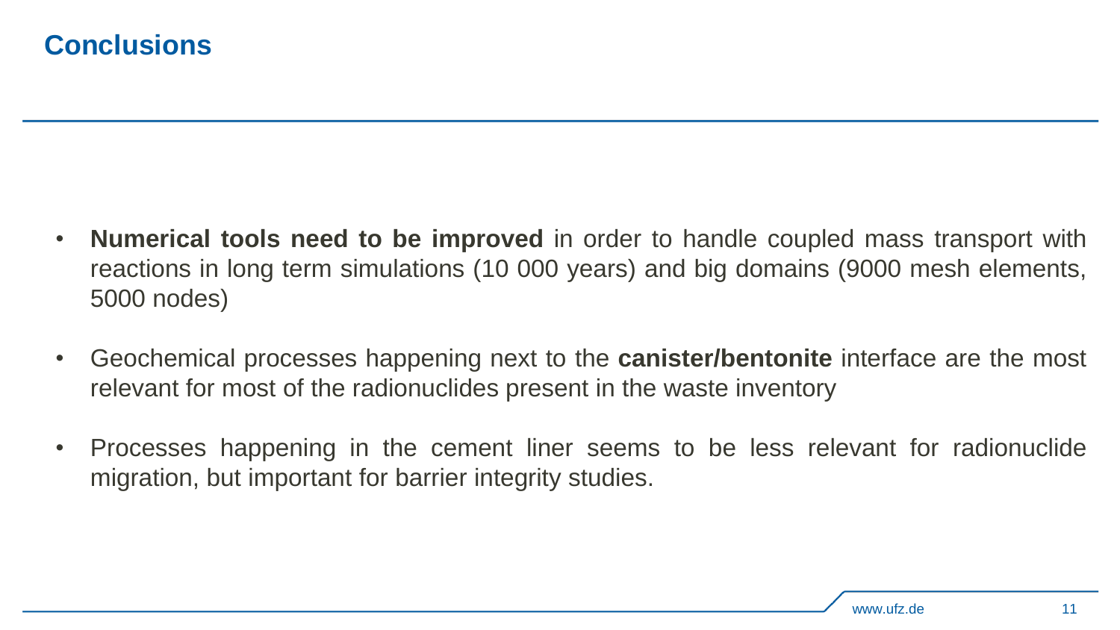## **Conclusions**

- **Numerical tools need to be improved** in order to handle coupled mass transport with reactions in long term simulations (10 000 years) and big domains (9000 mesh elements, 5000 nodes)
- Geochemical processes happening next to the **canister/bentonite** interface are the most relevant for most of the radionuclides present in the waste inventory
- Processes happening in the cement liner seems to be less relevant for radionuclide migration, but important for barrier integrity studies.